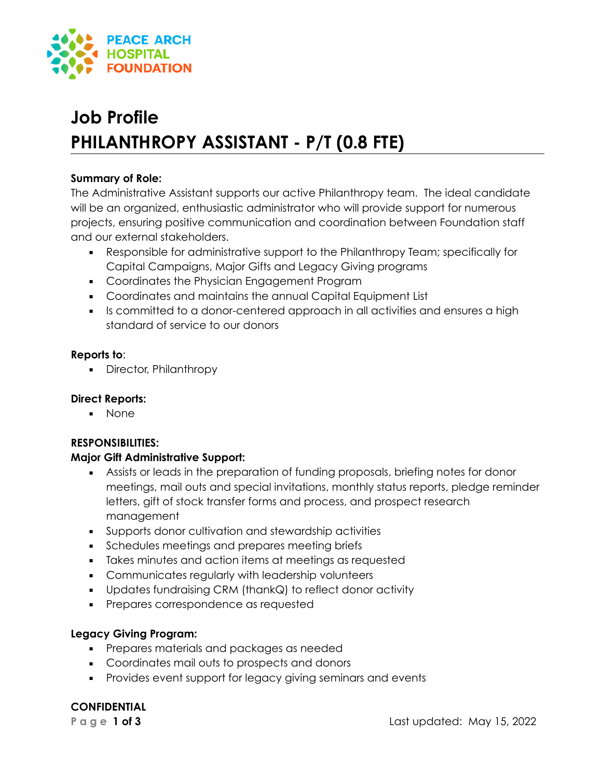

# **Job Profile PHILANTHROPY ASSISTANT - P/T (0.8 FTE)**

#### **Summary of Role:**

The Administrative Assistant supports our active Philanthropy team. The ideal candidate will be an organized, enthusiastic administrator who will provide support for numerous projects, ensuring positive communication and coordination between Foundation staff and our external stakeholders.

- Responsible for administrative support to the Philanthropy Team; specifically for Capital Campaigns, Major Gifts and Legacy Giving programs
- Coordinates the Physician Engagement Program
- Coordinates and maintains the annual Capital Equipment List
- Is committed to a donor-centered approach in all activities and ensures a high standard of service to our donors

### **Reports to**:

**•** Director, Philanthropy

# **Direct Reports:**

▪ None

# **RESPONSIBILITIES:**

# **Major Gift Administrative Support:**

- **EXEL Assists or leads in the preparation of funding proposals, briefing notes for donor** meetings, mail outs and special invitations, monthly status reports, pledge reminder letters, gift of stock transfer forms and process, and prospect research management
- Supports donor cultivation and stewardship activities
- **•** Schedules meetings and prepares meeting briefs
- Takes minutes and action items at meetings as requested
- **EXECOMMUNICATES regularly with leadership volunteers**
- Updates fundraising CRM (thankQ) to reflect donor activity
- **•** Prepares correspondence as requested

# **Legacy Giving Program:**

- **•** Prepares materials and packages as needed
- Coordinates mail outs to prospects and donors
- **•** Provides event support for legacy giving seminars and events

# **CONFIDENTIAL**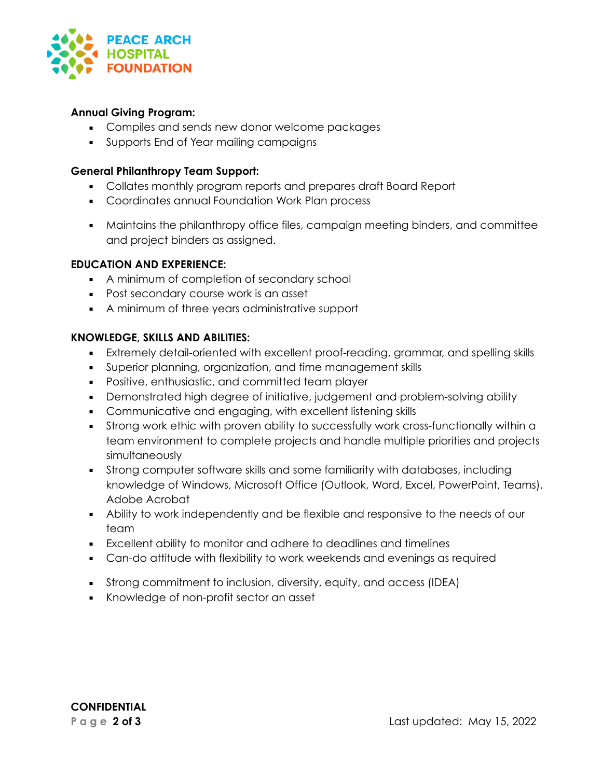

### **Annual Giving Program:**

- Compiles and sends new donor welcome packages
- **Supports End of Year mailing campaigns**

### **General Philanthropy Team Support:**

- Collates monthly program reports and prepares draft Board Report
- Coordinates annual Foundation Work Plan process
- Maintains the philanthropy office files, campaign meeting binders, and committee and project binders as assigned.

### **EDUCATION AND EXPERIENCE:**

- A minimum of completion of secondary school
- Post secondary course work is an asset
- A minimum of three years administrative support

### **KNOWLEDGE, SKILLS AND ABILITIES:**

- Extremely detail-oriented with excellent proof-reading, grammar, and spelling skills
- Superior planning, organization, and time management skills
- Positive, enthusiastic, and committed team player
- Demonstrated high degree of initiative, judgement and problem-solving ability
- Communicative and engaging, with excellent listening skills
- **•** Strong work ethic with proven ability to successfully work cross-functionally within a team environment to complete projects and handle multiple priorities and projects simultaneously
- **•** Strong computer software skills and some familiarity with databases, including knowledge of Windows, Microsoft Office (Outlook, Word, Excel, PowerPoint, Teams), Adobe Acrobat
- Ability to work independently and be flexible and responsive to the needs of our team
- Excellent ability to monitor and adhere to deadlines and timelines
- **EX Can-do attitude with flexibility to work weekends and evenings as required**
- **•** Strong commitment to inclusion, diversity, equity, and access (IDEA)
- Knowledge of non-profit sector an asset